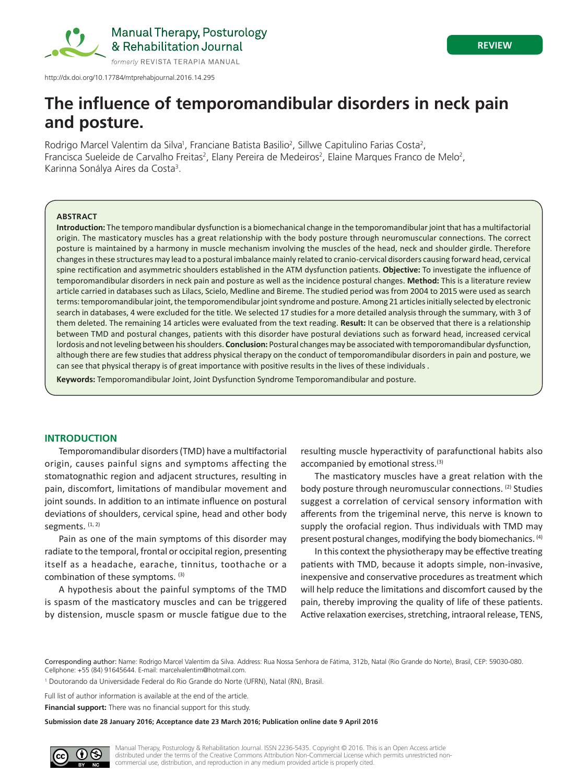

http://dx.doi.org/10.17784/mtprehabjournal.2016.14.295

# **The influence of temporomandibular disorders in neck pain and posture.**

Rodrigo Marcel Valentim da Silva<sup>1</sup>, Franciane Batista Basilio<sup>2</sup>, Sillwe Capitulino Farias Costa<sup>2</sup>, Francisca Sueleide de Carvalho Freitas<sup>2</sup>, Elany Pereira de Medeiros<sup>2</sup>, Elaine Marques Franco de Melo<sup>2</sup>, Karinna Sonálya Aires da Costa<sup>3</sup>.

## **ABSTRACT**

**Introduction:** The temporo mandibular dysfunction is a biomechanical change in the temporomandibular joint that has a multifactorial origin. The masticatory muscles has a great relationship with the body posture through neuromuscular connections. The correct posture is maintained by a harmony in muscle mechanism involving the muscles of the head, neck and shoulder girdle. Therefore changes in these structures may lead to a postural imbalance mainly related to cranio-cervical disorders causing forward head, cervical spine rectification and asymmetric shoulders established in the ATM dysfunction patients. **Objective:** To investigate the influence of temporomandibular disorders in neck pain and posture as well as the incidence postural changes. **Method:** This is a literature review article carried in databases such as Lilacs, Scielo, Medline and Bireme. The studied period was from 2004 to 2015 were used as search terms: temporomandibular joint, the temporomendibular joint syndrome and posture. Among 21 articles initially selected by electronic search in databases, 4 were excluded for the title. We selected 17 studies for a more detailed analysis through the summary, with 3 of them deleted. The remaining 14 articles were evaluated from the text reading. **Result:** It can be observed that there is a relationship between TMD and postural changes, patients with this disorder have postural deviations such as forward head, increased cervical lordosis and not leveling between his shoulders. **Conclusion:** Postural changes may be associated with temporomandibular dysfunction, although there are few studies that address physical therapy on the conduct of temporomandibular disorders in pain and posture, we can see that physical therapy is of great importance with positive results in the lives of these individuals .

**Keywords:** Temporomandibular Joint, Joint Dysfunction Syndrome Temporomandibular and posture.

# **INTRODUCTION**

Temporomandibular disorders (TMD) have a multifactorial origin, causes painful signs and symptoms affecting the stomatognathic region and adjacent structures, resulting in pain, discomfort, limitations of mandibular movement and joint sounds. In addition to an intimate influence on postural deviations of shoulders, cervical spine, head and other body segments.  $(1, 2)$ 

Pain as one of the main symptoms of this disorder may radiate to the temporal, frontal or occipital region, presenting itself as a headache, earache, tinnitus, toothache or a combination of these symptoms. (3)

A hypothesis about the painful symptoms of the TMD is spasm of the masticatory muscles and can be triggered by distension, muscle spasm or muscle fatigue due to the resulting muscle hyperactivity of parafunctional habits also accompanied by emotional stress.<sup>(3)</sup>

The masticatory muscles have a great relation with the body posture through neuromuscular connections. <sup>(2)</sup> Studies suggest a correlation of cervical sensory information with afferents from the trigeminal nerve, this nerve is known to supply the orofacial region. Thus individuals with TMD may present postural changes, modifying the body biomechanics. (4)

In this context the physiotherapy may be effective treating patients with TMD, because it adopts simple, non-invasive, inexpensive and conservative procedures as treatment which will help reduce the limitations and discomfort caused by the pain, thereby improving the quality of life of these patients. Active relaxation exercises, stretching, intraoral release, TENS,

Corresponding author: Name: Rodrigo Marcel Valentim da Silva. Address: Rua Nossa Senhora de Fátima, 312b, Natal (Rio Grande do Norte), Brasil, CEP: 59030-080. Cellphone: +55 (84) 91645644. E-mail: marcelvalentim@hotmail.com.

1 Doutorando da Universidade Federal do Rio Grande do Norte (UFRN), Natal (RN), Brasil.

Full list of author information is available at the end of the article.

**Financial support:** There was no financial support for this study.

**Submission date 28 January 2016; Acceptance date 23 March 2016; Publication online date 9 April 2016**

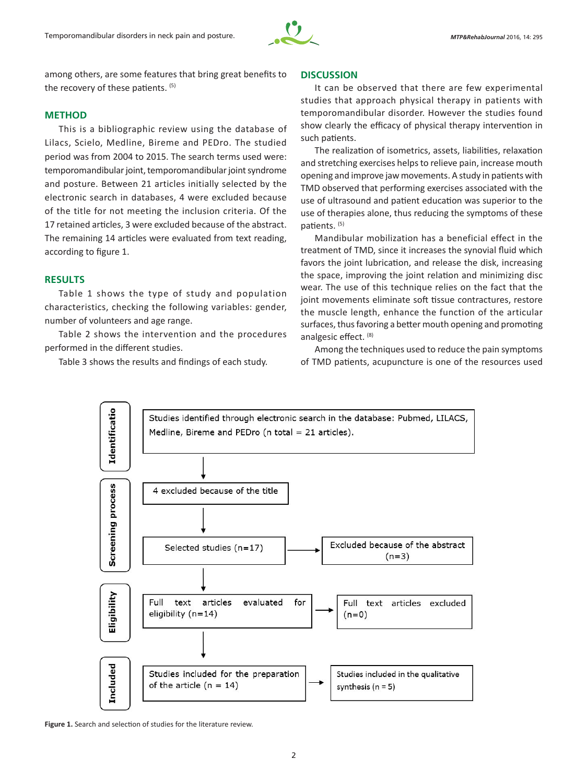

among others, are some features that bring great benefits to the recovery of these patients. (5)

## **METHOD**

This is a bibliographic review using the database of Lilacs, Scielo, Medline, Bireme and PEDro. The studied period was from 2004 to 2015. The search terms used were: temporomandibular joint, temporomandibular joint syndrome and posture. Between 21 articles initially selected by the electronic search in databases, 4 were excluded because of the title for not meeting the inclusion criteria. Of the 17 retained articles, 3 were excluded because of the abstract. The remaining 14 articles were evaluated from text reading, according to figure 1.

## **RESULTS**

Table 1 shows the type of study and population characteristics, checking the following variables: gender, number of volunteers and age range.

Table 2 shows the intervention and the procedures performed in the different studies.

Table 3 shows the results and findings of each study.

#### **DISCUSSION**

It can be observed that there are few experimental studies that approach physical therapy in patients with temporomandibular disorder. However the studies found show clearly the efficacy of physical therapy intervention in such patients.

The realization of isometrics, assets, liabilities, relaxation and stretching exercises helps to relieve pain, increase mouth opening and improve jaw movements. A study in patients with TMD observed that performing exercises associated with the use of ultrasound and patient education was superior to the use of therapies alone, thus reducing the symptoms of these patients. (5)

Mandibular mobilization has a beneficial effect in the treatment of TMD, since it increases the synovial fluid which favors the joint lubrication, and release the disk, increasing the space, improving the joint relation and minimizing disc wear. The use of this technique relies on the fact that the joint movements eliminate soft tissue contractures, restore the muscle length, enhance the function of the articular surfaces, thus favoring a better mouth opening and promoting analgesic effect. (8)

Among the techniques used to reduce the pain symptoms of TMD patients, acupuncture is one of the resources used



**Figure 1.** Search and selection of studies for the literature review.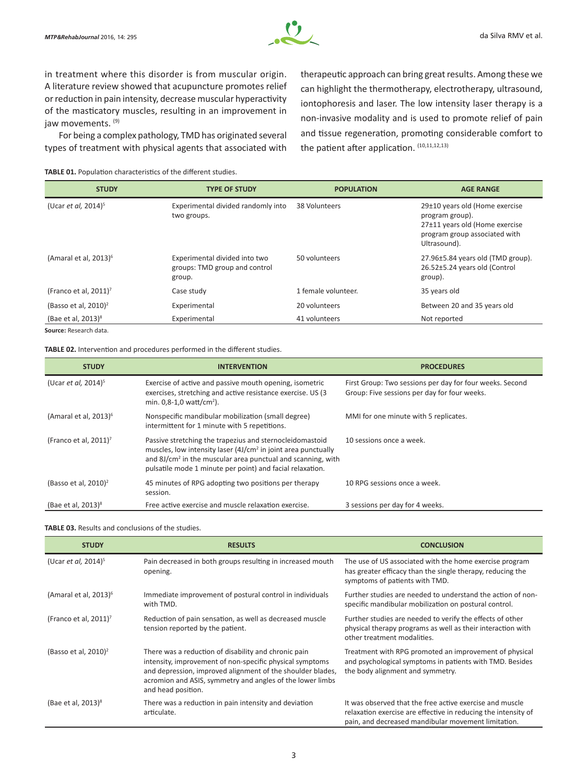

in treatment where this disorder is from muscular origin. A literature review showed that acupuncture promotes relief or reduction in pain intensity, decrease muscular hyperactivity of the masticatory muscles, resulting in an improvement in jaw movements. (9)

For being a complex pathology, TMD has originated several types of treatment with physical agents that associated with therapeutic approach can bring great results. Among these we can highlight the thermotherapy, electrotherapy, ultrasound, iontophoresis and laser. The low intensity laser therapy is a non-invasive modality and is used to promote relief of pain and tissue regeneration, promoting considerable comfort to the patient after application. (10,11,12,13)

**TABLE 01.** Population characteristics of the different studies.

| <b>STUDY</b>                           | <b>TYPE OF STUDY</b>                                                     | <b>POPULATION</b>   | <b>AGE RANGE</b>                                                                                                                     |
|----------------------------------------|--------------------------------------------------------------------------|---------------------|--------------------------------------------------------------------------------------------------------------------------------------|
| (Ucar <i>et al.</i> 2014) <sup>5</sup> | Experimental divided randomly into<br>two groups.                        | 38 Volunteers       | 29±10 years old (Home exercise<br>program group).<br>27±11 years old (Home exercise<br>program group associated with<br>Ultrasound). |
| (Amaral et al, 2013) <sup>6</sup>      | Experimental divided into two<br>groups: TMD group and control<br>group. | 50 volunteers       | 27.96±5.84 years old (TMD group).<br>26.52±5.24 years old (Control<br>group).                                                        |
| (Franco et al, $2011$ ) <sup>7</sup>   | Case study                                                               | 1 female volunteer. | 35 years old                                                                                                                         |
| (Basso et al, $2010$ ) <sup>2</sup>    | Experimental                                                             | 20 volunteers       | Between 20 and 35 years old                                                                                                          |
| (Bae et al, 2013) <sup>8</sup>         | Experimental                                                             | 41 volunteers       | Not reported                                                                                                                         |

**Source:** Research data.

**TABLE 02.** Intervention and procedures performed in the different studies.

| <b>STUDY</b>                         | <b>INTERVENTION</b>                                                                                                                                                                                                                                                           | <b>PROCEDURES</b>                                                                                        |
|--------------------------------------|-------------------------------------------------------------------------------------------------------------------------------------------------------------------------------------------------------------------------------------------------------------------------------|----------------------------------------------------------------------------------------------------------|
| (Ucar et al, $2014$ ) <sup>5</sup>   | Exercise of active and passive mouth opening, isometric<br>exercises, stretching and active resistance exercise. US (3)<br>min. $0.8 - 1.0$ watt/cm <sup>2</sup> ).                                                                                                           | First Group: Two sessions per day for four weeks. Second<br>Group: Five sessions per day for four weeks. |
| (Amaral et al, 2013) <sup>6</sup>    | Nonspecific mandibular mobilization (small degree)<br>intermittent for 1 minute with 5 repetitions.                                                                                                                                                                           | MMI for one minute with 5 replicates.                                                                    |
| (Franco et al, $2011$ ) <sup>7</sup> | Passive stretching the trapezius and sternocleidomastoid<br>muscles, low intensity laser (4J/cm <sup>2</sup> in joint area punctually<br>and 8J/cm <sup>2</sup> in the muscular area punctual and scanning, with<br>pulsatile mode 1 minute per point) and facial relaxation. | 10 sessions once a week.                                                                                 |
| (Basso et al, $2010$ ) <sup>2</sup>  | 45 minutes of RPG adopting two positions per therapy<br>session.                                                                                                                                                                                                              | 10 RPG sessions once a week.                                                                             |
| (Bae et al, $2013$ ) <sup>8</sup>    | Free active exercise and muscle relaxation exercise.                                                                                                                                                                                                                          | 3 sessions per day for 4 weeks.                                                                          |

### **TABLE 03.** Results and conclusions of the studies.

| <b>STUDY</b>                           | <b>RESULTS</b>                                                                                                                                                                                                                                                    | <b>CONCLUSION</b>                                                                                                                                                                 |
|----------------------------------------|-------------------------------------------------------------------------------------------------------------------------------------------------------------------------------------------------------------------------------------------------------------------|-----------------------------------------------------------------------------------------------------------------------------------------------------------------------------------|
| (Ucar <i>et al.</i> 2014) <sup>5</sup> | Pain decreased in both groups resulting in increased mouth<br>opening.                                                                                                                                                                                            | The use of US associated with the home exercise program<br>has greater efficacy than the single therapy, reducing the<br>symptoms of patients with TMD.                           |
| (Amaral et al, 2013) <sup>6</sup>      | Immediate improvement of postural control in individuals<br>with TMD.                                                                                                                                                                                             | Further studies are needed to understand the action of non-<br>specific mandibular mobilization on postural control.                                                              |
| (Franco et al, 2011) <sup>7</sup>      | Reduction of pain sensation, as well as decreased muscle<br>tension reported by the patient.                                                                                                                                                                      | Further studies are needed to verify the effects of other<br>physical therapy programs as well as their interaction with<br>other treatment modalities.                           |
| (Basso et al, $2010$ ) <sup>2</sup>    | There was a reduction of disability and chronic pain<br>intensity, improvement of non-specific physical symptoms<br>and depression, improved alignment of the shoulder blades,<br>acromion and ASIS, symmetry and angles of the lower limbs<br>and head position. | Treatment with RPG promoted an improvement of physical<br>and psychological symptoms in patients with TMD. Besides<br>the body alignment and symmetry.                            |
| (Bae et al, $2013$ ) <sup>8</sup>      | There was a reduction in pain intensity and deviation<br>articulate.                                                                                                                                                                                              | It was observed that the free active exercise and muscle<br>relaxation exercise are effective in reducing the intensity of<br>pain, and decreased mandibular movement limitation. |